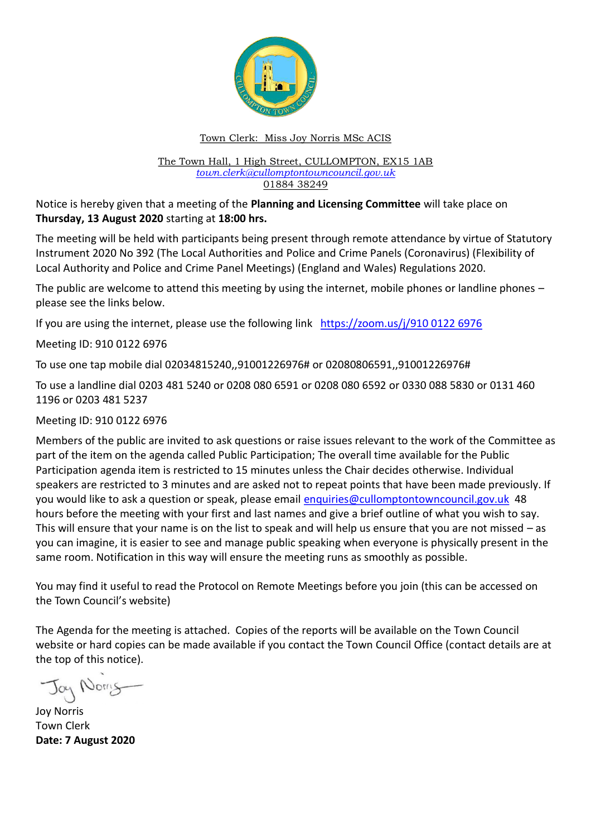

# Town Clerk: Miss Joy Norris MSc ACIS

#### The Town Hall, 1 High Street, CULLOMPTON, EX15 1AB *[town.clerk@cullomptontowncouncil.gov.uk](mailto:town.clerk@cullomptontowncouncil.gov.uk)* 01884 38249

Notice is hereby given that a meeting of the **Planning and Licensing Committee** will take place on **Thursday, 13 August 2020** starting at **18:00 hrs.**

The meeting will be held with participants being present through remote attendance by virtue of Statutory Instrument 2020 No 392 (The Local Authorities and Police and Crime Panels (Coronavirus) (Flexibility of Local Authority and Police and Crime Panel Meetings) (England and Wales) Regulations 2020.

The public are welcome to attend this meeting by using the internet, mobile phones or landline phones – please see the links below.

If you are using the internet, please use the following link [https://zoom.us/j/910 0122 6976](https://zoom.us/j/910%200122%206976)

Meeting ID: 910 0122 6976

To use one tap mobile dial 02034815240,,91001226976# or 02080806591,,91001226976#

To use a landline dial 0203 481 5240 or 0208 080 6591 or 0208 080 6592 or 0330 088 5830 or 0131 460 1196 or 0203 481 5237

Meeting ID: 910 0122 6976

Members of the public are invited to ask questions or raise issues relevant to the work of the Committee as part of the item on the agenda called Public Participation; The overall time available for the Public Participation agenda item is restricted to 15 minutes unless the Chair decides otherwise. Individual speakers are restricted to 3 minutes and are asked not to repeat points that have been made previously. If you would like to ask a question or speak, please email [enquiries@cullomptontowncouncil.gov.uk](mailto:enquiries@cullomptontowncouncil.gov.uk) 48 hours before the meeting with your first and last names and give a brief outline of what you wish to say. This will ensure that your name is on the list to speak and will help us ensure that you are not missed – as you can imagine, it is easier to see and manage public speaking when everyone is physically present in the same room. Notification in this way will ensure the meeting runs as smoothly as possible.

You may find it useful to read the Protocol on Remote Meetings before you join (this can be accessed on the Town Council's website)

The Agenda for the meeting is attached. Copies of the reports will be available on the Town Council website or hard copies can be made available if you contact the Town Council Office (contact details are at the top of this notice).

Jay Norry

Joy Norris Town Clerk **Date: 7 August 2020**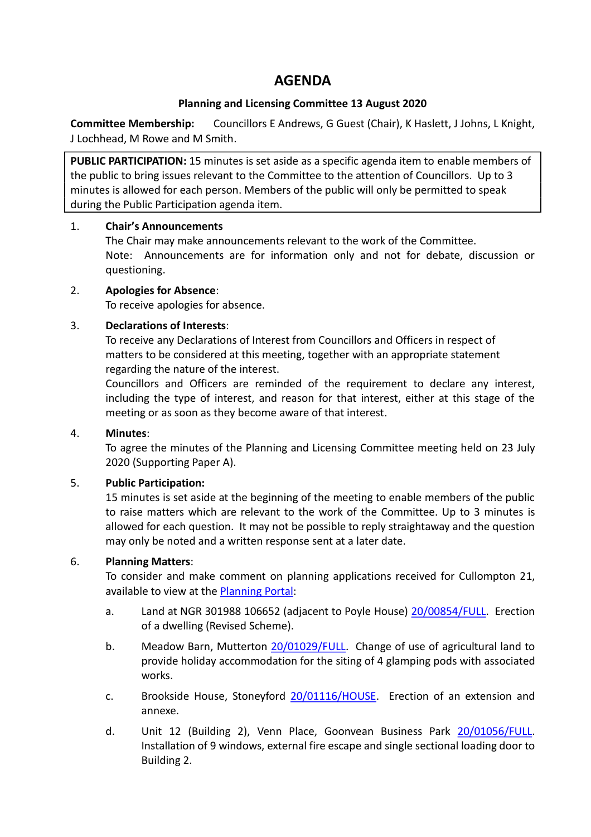# **AGENDA**

# **Planning and Licensing Committee 13 August 2020**

**Committee Membership:** Councillors E Andrews, G Guest (Chair), K Haslett, J Johns, L Knight, J Lochhead, M Rowe and M Smith.

**PUBLIC PARTICIPATION:** 15 minutes is set aside as a specific agenda item to enable members of the public to bring issues relevant to the Committee to the attention of Councillors. Up to 3 minutes is allowed for each person. Members of the public will only be permitted to speak during the Public Participation agenda item.

# 1. **Chair's Announcements**

The Chair may make announcements relevant to the work of the Committee. Note: Announcements are for information only and not for debate, discussion or questioning.

# 2. **Apologies for Absence**:

To receive apologies for absence.

# 3. **Declarations of Interests**:

To receive any Declarations of Interest from Councillors and Officers in respect of matters to be considered at this meeting, together with an appropriate statement regarding the nature of the interest.

Councillors and Officers are reminded of the requirement to declare any interest, including the type of interest, and reason for that interest, either at this stage of the meeting or as soon as they become aware of that interest.

### 4. **Minutes**:

To agree the minutes of the Planning and Licensing Committee meeting held on 23 July 2020 (Supporting Paper A).

### 5. **Public Participation:**

15 minutes is set aside at the beginning of the meeting to enable members of the public to raise matters which are relevant to the work of the Committee. Up to 3 minutes is allowed for each question. It may not be possible to reply straightaway and the question may only be noted and a written response sent at a later date.

### 6. **Planning Matters**:

To consider and make comment on planning applications received for Cullompton 21, available to view at the [Planning Portal:](https://planning.middevon.gov.uk/online-applications/search.do?action=simple&searchType=BuildingControl)

- a. Land at NGR 301988 106652 (adjacent to Poyle House) [20/00854/FULL.](https://planning.middevon.gov.uk/online-applications/applicationDetails.do?activeTab=documents&keyVal=QBPGQ2KS07T00) Erection of a dwelling (Revised Scheme).
- b. Meadow Barn, Mutterton [20/01029/FULL.](https://planning.middevon.gov.uk/online-applications/applicationDetails.do?activeTab=documents&keyVal=QDEIUNKS04G00) Change of use of agricultural land to provide holiday accommodation for the siting of 4 glamping pods with associated works.
- c. Brookside House, Stoneyford [20/01116/HOUSE.](https://planning.middevon.gov.uk/online-applications/applicationDetails.do?activeTab=documents&keyVal=QDV5JCKS04G00) Erection of an extension and annexe.
- d. Unit 12 (Building 2), Venn Place, Goonvean Business Park [20/01056/FULL.](https://planning.middevon.gov.uk/online-applications/applicationDetails.do?activeTab=documents&keyVal=QDK2EZKS04G00) Installation of 9 windows, external fire escape and single sectional loading door to Building 2.